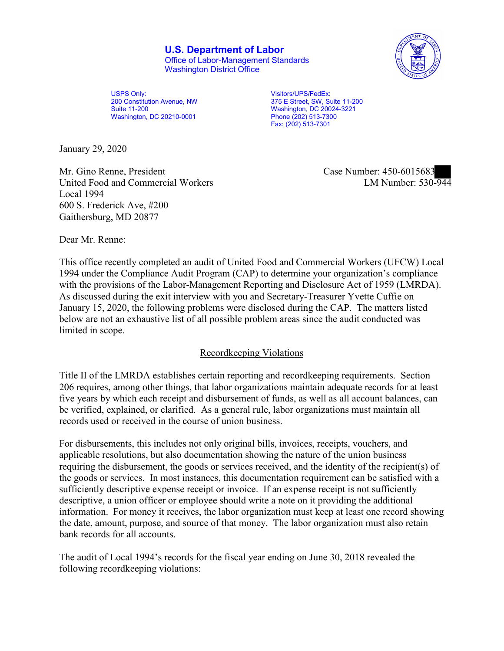**U.S. Department of Labor** Office of Labor-Management Standards

Washington District Office



USPS Only: 200 Constitution Avenue, NW Suite 11-200 Washington, DC 20210-0001

 375 E Street, SW, Suite 11-200 Visitors/UPS/FedEx: Washington, DC 20024-3221 Phone (202) 513-7300 Fax: (202) 513-7301

January 29, 2020

Mr. Gino Renne, President Case Number: 450-6015683 United Food and Commercial Workers Local 1994 600 S. Frederick Ave, #200 Gaithersburg, MD 20877

LM Number:  $530-944$ 

Dear Mr. Renne:

This office recently completed an audit of United Food and Commercial Workers (UFCW) Local 1994 under the Compliance Audit Program (CAP) to determine your organization's compliance with the provisions of the Labor-Management Reporting and Disclosure Act of 1959 (LMRDA). As discussed during the exit interview with you and Secretary-Treasurer Yvette Cuffie on January 15, 2020, the following problems were disclosed during the CAP. The matters listed below are not an exhaustive list of all possible problem areas since the audit conducted was limited in scope.

# Recordkeeping Violations

 Title II of the LMRDA establishes certain reporting and recordkeeping requirements. Section 206 requires, among other things, that labor organizations maintain adequate records for at least five years by which each receipt and disbursement of funds, as well as all account balances, can be verified, explained, or clarified. As a general rule, labor organizations must maintain all records used or received in the course of union business.

For disbursements, this includes not only original bills, invoices, receipts, vouchers, and applicable resolutions, but also documentation showing the nature of the union business requiring the disbursement, the goods or services received, and the identity of the recipient(s) of the goods or services. In most instances, this documentation requirement can be satisfied with a sufficiently descriptive expense receipt or invoice. If an expense receipt is not sufficiently descriptive, a union officer or employee should write a note on it providing the additional information. For money it receives, the labor organization must keep at least one record showing the date, amount, purpose, and source of that money. The labor organization must also retain bank records for all accounts.

 following recordkeeping violations: The audit of Local 1994's records for the fiscal year ending on June 30, 2018 revealed the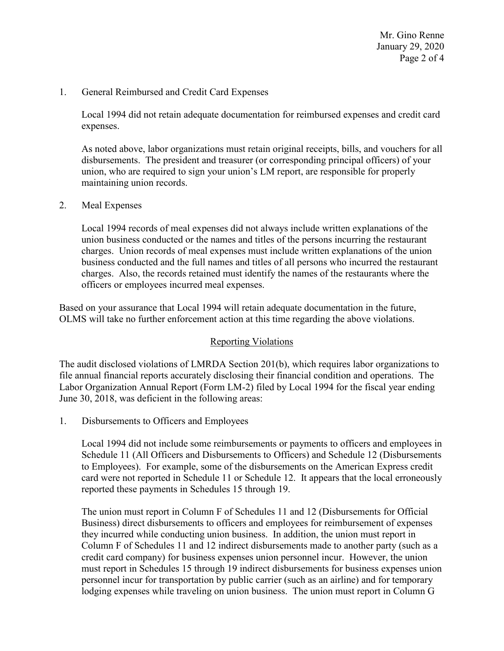Page 2 of 4 Mr. Gino Renne January 29, 2020

# 1. General Reimbursed and Credit Card Expenses

Local 1994 did not retain adequate documentation for reimbursed expenses and credit card expenses.

 disbursements. The president and treasurer (or corresponding principal officers) of your As noted above, labor organizations must retain original receipts, bills, and vouchers for all union, who are required to sign your union's LM report, are responsible for properly maintaining union records.

### 2. Meal Expenses

 charges. Union records of meal expenses must include written explanations of the union charges. Also, the records retained must identify the names of the restaurants where the officers or employees incurred meal expenses. Local 1994 records of meal expenses did not always include written explanations of the union business conducted or the names and titles of the persons incurring the restaurant business conducted and the full names and titles of all persons who incurred the restaurant

Based on your assurance that Local 1994 will retain adequate documentation in the future, OLMS will take no further enforcement action at this time regarding the above violations.

# Reporting Violations

 The audit disclosed violations of LMRDA Section 201(b), which requires labor organizations to file annual financial reports accurately disclosing their financial condition and operations. The Labor Organization Annual Report (Form LM-2) filed by Local 1994 for the fiscal year ending June 30, 2018, was deficient in the following areas:

1. Disbursements to Officers and Employees

 to Employees). For example, some of the disbursements on the American Express credit card were not reported in Schedule 11 or Schedule 12. It appears that the local erroneously Local 1994 did not include some reimbursements or payments to officers and employees in Schedule 11 (All Officers and Disbursements to Officers) and Schedule 12 (Disbursements reported these payments in Schedules 15 through 19.

 The union must report in Column F of Schedules 11 and 12 (Disbursements for Official they incurred while conducting union business. In addition, the union must report in Column F of Schedules 11 and 12 indirect disbursements made to another party (such as a personnel incur for transportation by public carrier (such as an airline) and for temporary Business) direct disbursements to officers and employees for reimbursement of expenses credit card company) for business expenses union personnel incur. However, the union must report in Schedules 15 through 19 indirect disbursements for business expenses union lodging expenses while traveling on union business. The union must report in Column G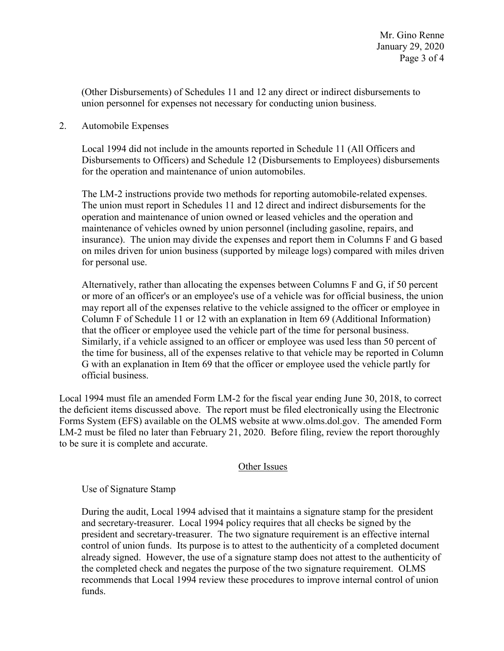(Other Disbursements) of Schedules 11 and 12 any direct or indirect disbursements to union personnel for expenses not necessary for conducting union business.

2. Automobile Expenses

Local 1994 did not include in the amounts reported in Schedule 11 (All Officers and Disbursements to Officers) and Schedule 12 (Disbursements to Employees) disbursements for the operation and maintenance of union automobiles.

The LM-2 instructions provide two methods for reporting automobile-related expenses. The union must report in Schedules 11 and 12 direct and indirect disbursements for the operation and maintenance of union owned or leased vehicles and the operation and maintenance of vehicles owned by union personnel (including gasoline, repairs, and insurance). The union may divide the expenses and report them in Columns F and G based on miles driven for union business (supported by mileage logs) compared with miles driven for personal use.

Alternatively, rather than allocating the expenses between Columns F and G, if 50 percent or more of an officer's or an employee's use of a vehicle was for official business, the union may report all of the expenses relative to the vehicle assigned to the officer or employee in Column F of Schedule 11 or 12 with an explanation in Item 69 (Additional Information) that the officer or employee used the vehicle part of the time for personal business. Similarly, if a vehicle assigned to an officer or employee was used less than 50 percent of the time for business, all of the expenses relative to that vehicle may be reported in Column G with an explanation in Item 69 that the officer or employee used the vehicle partly for official business.

to be sure it is complete and accurate.<br>Other Issues Local 1994 must file an amended Form LM-2 for the fiscal year ending June 30, 2018, to correct the deficient items discussed above. The report must be filed electronically using the Electronic Forms System (EFS) available on the OLMS website at<www.olms.dol.gov>. The amended Form LM-2 must be filed no later than February 21, 2020. Before filing, review the report thoroughly

Use of Signature Stamp

 president and secretary-treasurer. The two signature requirement is an effective internal control of union funds. Its purpose is to attest to the authenticity of a completed document already signed. However, the use of a signature stamp does not attest to the authenticity of recommends that Local 1994 review these procedures to improve internal control of union During the audit, Local 1994 advised that it maintains a signature stamp for the president and secretary-treasurer. Local 1994 policy requires that all checks be signed by the the completed check and negates the purpose of the two signature requirement. OLMS funds.